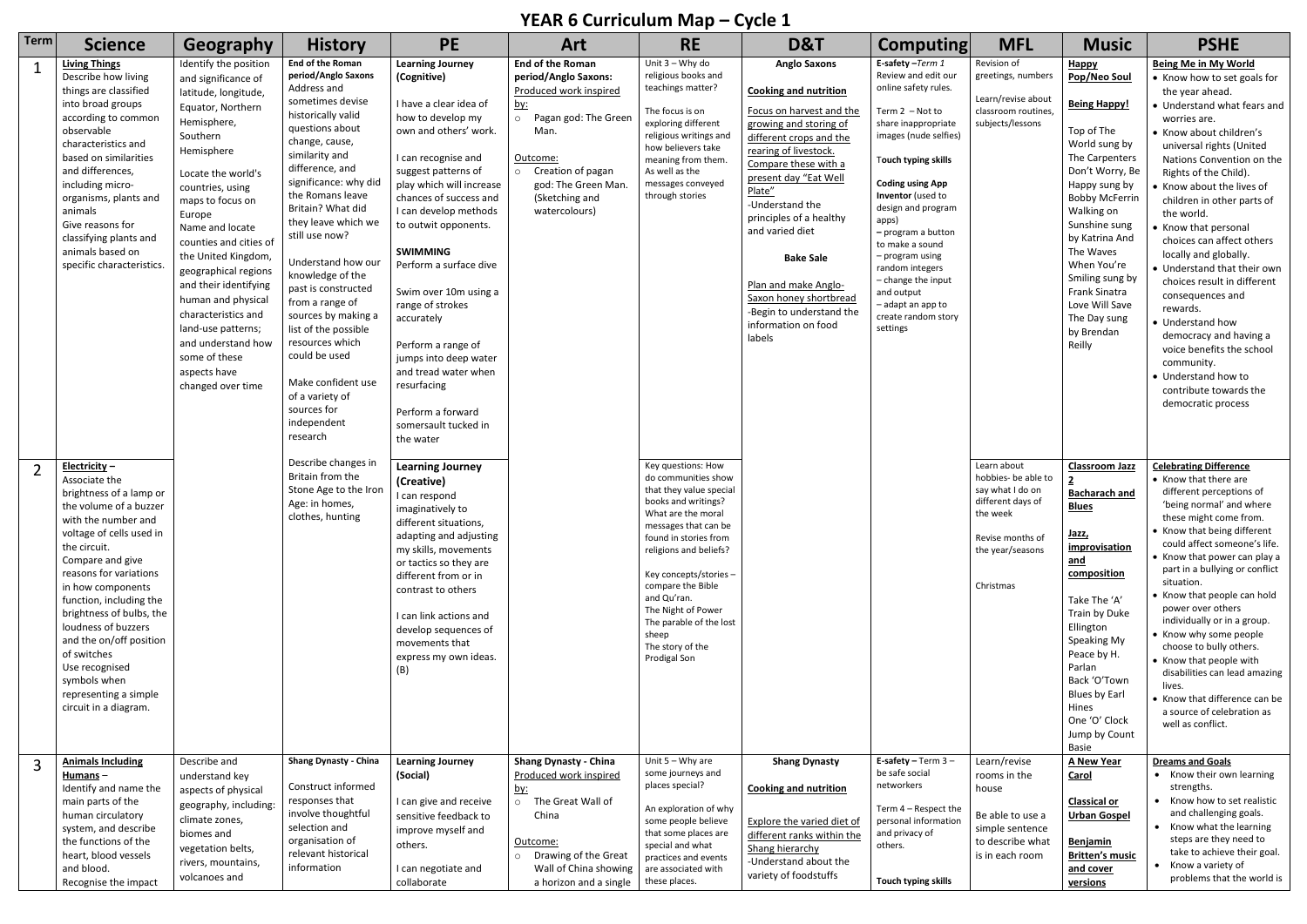## **YEAR 6 Curriculum Map – Cycle 1**

|      |                                                                                                                                                                                                                                                                                                                                                                                                                                         |                                                                                                                                                                                                                                                                                                                                                                                                                                                                                |                                                                                                                                                                                                                                                                                                                                                                                                                                                                                                                                                        |                                                                                                                                                                                                                                                                                                                                                                                                                                                                                                                             | reak 6 Curriculum Map – Cycle 1                                                                                                                                                                                        |                                                                                                                                                                                                                                                                                                                                                          |                                                                                                                                                                                                                                                                                                                                                                                                                              |                                                                                                                                                                                                                                                                                                                                                                                                                      |                                                                                                                                              |                                                                                                                                                                                                                                                                                                                                              |                                                                                                                                                                                                                                                                                                                                                                                                                                                                                                                                                                                                                                                         |
|------|-----------------------------------------------------------------------------------------------------------------------------------------------------------------------------------------------------------------------------------------------------------------------------------------------------------------------------------------------------------------------------------------------------------------------------------------|--------------------------------------------------------------------------------------------------------------------------------------------------------------------------------------------------------------------------------------------------------------------------------------------------------------------------------------------------------------------------------------------------------------------------------------------------------------------------------|--------------------------------------------------------------------------------------------------------------------------------------------------------------------------------------------------------------------------------------------------------------------------------------------------------------------------------------------------------------------------------------------------------------------------------------------------------------------------------------------------------------------------------------------------------|-----------------------------------------------------------------------------------------------------------------------------------------------------------------------------------------------------------------------------------------------------------------------------------------------------------------------------------------------------------------------------------------------------------------------------------------------------------------------------------------------------------------------------|------------------------------------------------------------------------------------------------------------------------------------------------------------------------------------------------------------------------|----------------------------------------------------------------------------------------------------------------------------------------------------------------------------------------------------------------------------------------------------------------------------------------------------------------------------------------------------------|------------------------------------------------------------------------------------------------------------------------------------------------------------------------------------------------------------------------------------------------------------------------------------------------------------------------------------------------------------------------------------------------------------------------------|----------------------------------------------------------------------------------------------------------------------------------------------------------------------------------------------------------------------------------------------------------------------------------------------------------------------------------------------------------------------------------------------------------------------|----------------------------------------------------------------------------------------------------------------------------------------------|----------------------------------------------------------------------------------------------------------------------------------------------------------------------------------------------------------------------------------------------------------------------------------------------------------------------------------------------|---------------------------------------------------------------------------------------------------------------------------------------------------------------------------------------------------------------------------------------------------------------------------------------------------------------------------------------------------------------------------------------------------------------------------------------------------------------------------------------------------------------------------------------------------------------------------------------------------------------------------------------------------------|
| Term | <b>Science</b>                                                                                                                                                                                                                                                                                                                                                                                                                          | Geography                                                                                                                                                                                                                                                                                                                                                                                                                                                                      | <b>History</b>                                                                                                                                                                                                                                                                                                                                                                                                                                                                                                                                         | <b>PE</b>                                                                                                                                                                                                                                                                                                                                                                                                                                                                                                                   | Art                                                                                                                                                                                                                    | <b>RE</b>                                                                                                                                                                                                                                                                                                                                                | D&T                                                                                                                                                                                                                                                                                                                                                                                                                          | <b>Computing</b>                                                                                                                                                                                                                                                                                                                                                                                                     | <b>MFL</b>                                                                                                                                   | <b>Music</b>                                                                                                                                                                                                                                                                                                                                 | <b>PSHE</b>                                                                                                                                                                                                                                                                                                                                                                                                                                                                                                                                                                                                                                             |
|      | <b>Living Things</b><br>Describe how living<br>things are classified<br>into broad groups<br>according to common<br>observable<br>characteristics and<br>based on similarities<br>and differences,<br>including micro-<br>organisms, plants and<br>animals<br>Give reasons for<br>classifying plants and<br>animals based on<br>specific characteristics.                                                                               | Identify the position<br>and significance of<br>latitude, longitude,<br>Equator, Northern<br>Hemisphere,<br>Southern<br>Hemisphere<br>Locate the world's<br>countries, using<br>maps to focus on<br>Europe<br>Name and locate<br>counties and cities of<br>the United Kingdom,<br>geographical regions<br>and their identifying<br>human and physical<br>characteristics and<br>land-use patterns;<br>and understand how<br>some of these<br>aspects have<br>changed over time | <b>End of the Roman</b><br>period/Anglo Saxons<br>Address and<br>sometimes devise<br>historically valid<br>questions about<br>change, cause,<br>similarity and<br>difference, and<br>significance: why did<br>the Romans leave<br>Britain? What did<br>they leave which we<br>still use now?<br>Understand how our<br>knowledge of the<br>past is constructed<br>from a range of<br>sources by making a<br>list of the possible<br>resources which<br>could be used<br>Make confident use<br>of a variety of<br>sources for<br>independent<br>research | <b>Learning Journey</b><br>(Cognitive)<br>I have a clear idea of<br>how to develop my<br>own and others' work.<br>I can recognise and<br>suggest patterns of<br>play which will increase<br>chances of success and<br>I can develop methods<br>to outwit opponents.<br><b>SWIMMING</b><br>Perform a surface dive<br>Swim over 10m using a<br>range of strokes<br>accurately<br>Perform a range of<br>jumps into deep water<br>and tread water when<br>resurfacing<br>Perform a forward<br>somersault tucked in<br>the water | <b>End of the Roman</b><br>period/Anglo Saxons:<br>Produced work inspired<br><u>by:</u><br>o Pagan god: The Green<br>Man.<br>Outcome:<br>o Creation of pagan<br>god: The Green Man.<br>(Sketching and<br>watercolours) | Unit $3 - Why$ do<br>religious books and<br>teachings matter?<br>The focus is on<br>exploring different<br>religious writings and<br>how believers take<br>meaning from them.<br>As well as the<br>messages conveyed<br>through stories                                                                                                                  | <b>Anglo Saxons</b><br><b>Cooking and nutrition</b><br>Focus on harvest and the<br>growing and storing of<br>different crops and the<br>rearing of livestock.<br>Compare these with a<br>present day "Eat Well<br>Plate"<br>-Understand the<br>principles of a healthy<br>and varied diet<br><b>Bake Sale</b><br>Plan and make Anglo-<br>Saxon honey shortbread<br>-Begin to understand the<br>information on food<br>labels | E-safety-Term 1<br>Review and edit our<br>online safety rules.<br>Term $2 - Not$ to<br>share inappropriate<br>images (nude selfies)<br>Touch typing skills<br><b>Coding using App</b><br>Inventor (used to<br>design and program<br>apps)<br>- program a button<br>to make a sound<br>- program using<br>random integers<br>- change the input<br>and output<br>- adapt an app to<br>create random story<br>settings | Revision of<br>greetings, numbers<br>Learn/revise about<br>classroom routines,<br>subjects/lessons                                           | Happy<br>Pop/Neo Soul<br><b>Being Happy!</b><br>Top of The<br>World sung by<br>The Carpenters<br>Don't Worry, Be<br>Happy sung by<br><b>Bobby McFerrin</b><br>Walking on<br>Sunshine sung<br>by Katrina And<br>The Waves<br>When You're<br>Smiling sung by<br><b>Frank Sinatra</b><br>Love Will Save<br>The Day sung<br>by Brendan<br>Reilly | Being Me in My World<br>• Know how to set goals for<br>the year ahead.<br>• Understand what fears and<br>worries are.<br>• Know about children's<br>universal rights (United<br>Nations Convention on the<br>Rights of the Child).<br>• Know about the lives of<br>children in other parts of<br>the world.<br>• Know that personal<br>choices can affect others<br>locally and globally.<br>• Understand that their own<br>choices result in different<br>consequences and<br>rewards.<br>• Understand how<br>democracy and having a<br>voice benefits the school<br>community.<br>• Understand how to<br>contribute towards the<br>democratic process |
|      | $Electricity -$<br>Associate the<br>brightness of a lamp or<br>the volume of a buzzer<br>with the number and<br>voltage of cells used in<br>the circuit.<br>Compare and give<br>reasons for variations<br>in how components<br>function, including the<br>brightness of bulbs, the<br>loudness of buzzers<br>and the on/off position<br>of switches<br>Use recognised<br>symbols when<br>representing a simple<br>circuit in a diagram. |                                                                                                                                                                                                                                                                                                                                                                                                                                                                                | Describe changes in<br>Britain from the<br>Stone Age to the Iron<br>Age: in homes,<br>clothes, hunting                                                                                                                                                                                                                                                                                                                                                                                                                                                 | <b>Learning Journey</b><br>(Creative)<br>I can respond<br>imaginatively to<br>different situations,<br>adapting and adjusting<br>my skills, movements<br>or tactics so they are<br>different from or in<br>contrast to others<br>I can link actions and<br>develop sequences of<br>movements that<br>express my own ideas.<br>(B)                                                                                                                                                                                           |                                                                                                                                                                                                                        | Key questions: How<br>do communities show<br>that they value special<br>books and writings?<br>What are the moral<br>messages that can be<br>found in stories from<br>religions and beliefs?<br>Key concepts/stories -<br>compare the Bible<br>and Qu'ran.<br>The Night of Power<br>The parable of the lost<br>sheep<br>The story of the<br>Prodigal Son |                                                                                                                                                                                                                                                                                                                                                                                                                              |                                                                                                                                                                                                                                                                                                                                                                                                                      | Learn about<br>hobbies- be able to<br>say what I do on<br>different days of<br>the week<br>Revise months of<br>the year/seasons<br>Christmas | <b>Classroom Jazz</b><br><b>Bacharach and</b><br><b>Blues</b><br><u>Jazz,</u><br>improvisation<br><u>and</u><br>composition<br>Take The 'A'<br>Train by Duke<br>Ellington<br>Speaking My<br>Peace by H.<br>Parlan<br>Back 'O'Town<br><b>Blues by Earl</b><br>Hines<br>One 'O' Clock<br>Jump by Count<br>Basie                                | <b>Celebrating Difference</b><br>• Know that there are<br>different perceptions of<br>'being normal' and where<br>these might come from.<br>• Know that being different<br>could affect someone's life.<br>• Know that power can play a<br>part in a bullying or conflict<br>situation.<br>• Know that people can hold<br>power over others<br>individually or in a group.<br>• Know why some people<br>choose to bully others.<br>• Know that people with<br>disabilities can lead amazing<br>lives.<br>• Know that difference can be<br>a source of celebration as<br>well as conflict.                                                               |
|      | <b>Animals Including</b><br>Humans-<br>Identify and name the<br>main parts of the<br>human circulatory<br>system, and describe<br>the functions of the<br>heart, blood vessels<br>and blood.<br>Recognise the impact                                                                                                                                                                                                                    | Describe and<br>understand key<br>aspects of physical<br>geography, including:<br>climate zones,<br>biomes and<br>vegetation belts,<br>rivers, mountains,<br>volcanoes and                                                                                                                                                                                                                                                                                                     | <b>Shang Dynasty - China</b><br>Construct informed<br>responses that<br>involve thoughtful<br>selection and<br>organisation of<br>relevant historical<br>information                                                                                                                                                                                                                                                                                                                                                                                   | <b>Learning Journey</b><br>(Social)<br>I can give and receive<br>sensitive feedback to<br>improve myself and<br>others.<br>I can negotiate and<br>collaborate                                                                                                                                                                                                                                                                                                                                                               | <b>Shang Dynasty - China</b><br>Produced work inspired<br><u>by:</u><br>o The Great Wall of<br>China<br>Outcome:<br>o Drawing of the Great<br>Wall of China showing<br>a horizon and a single                          | Unit $5 - W$ hy are<br>some journeys and<br>places special?<br>An exploration of why<br>some people believe<br>that some places are<br>special and what<br>practices and events<br>are associated with<br>these places.                                                                                                                                  | <b>Shang Dynasty</b><br><b>Cooking and nutrition</b><br>Explore the varied diet of<br>different ranks within the<br>Shang hierarchy<br>-Understand about the<br>variety of foodstuffs                                                                                                                                                                                                                                        | E-safety - Term $3 -$<br>be safe social<br>networkers<br>Term 4 - Respect the<br>personal information<br>and privacy of<br>others.<br>Touch typing skills                                                                                                                                                                                                                                                            | Learn/revise<br>rooms in the<br>house<br>Be able to use a<br>simple sentence<br>to describe what<br>is in each room                          | <b>A New Year</b><br><b>Carol</b><br><b>Classical or</b><br><b>Urban Gospel</b><br><b>Benjamin</b><br><b>Britten's music</b><br>and cover<br>versions                                                                                                                                                                                        | <b>Dreams and Goals</b><br>• Know their own learning<br>strengths.<br>• Know how to set realistic<br>and challenging goals.<br>• Know what the learning<br>steps are they need to<br>take to achieve their goal.<br>• Know a variety of<br>problems that the world is                                                                                                                                                                                                                                                                                                                                                                                   |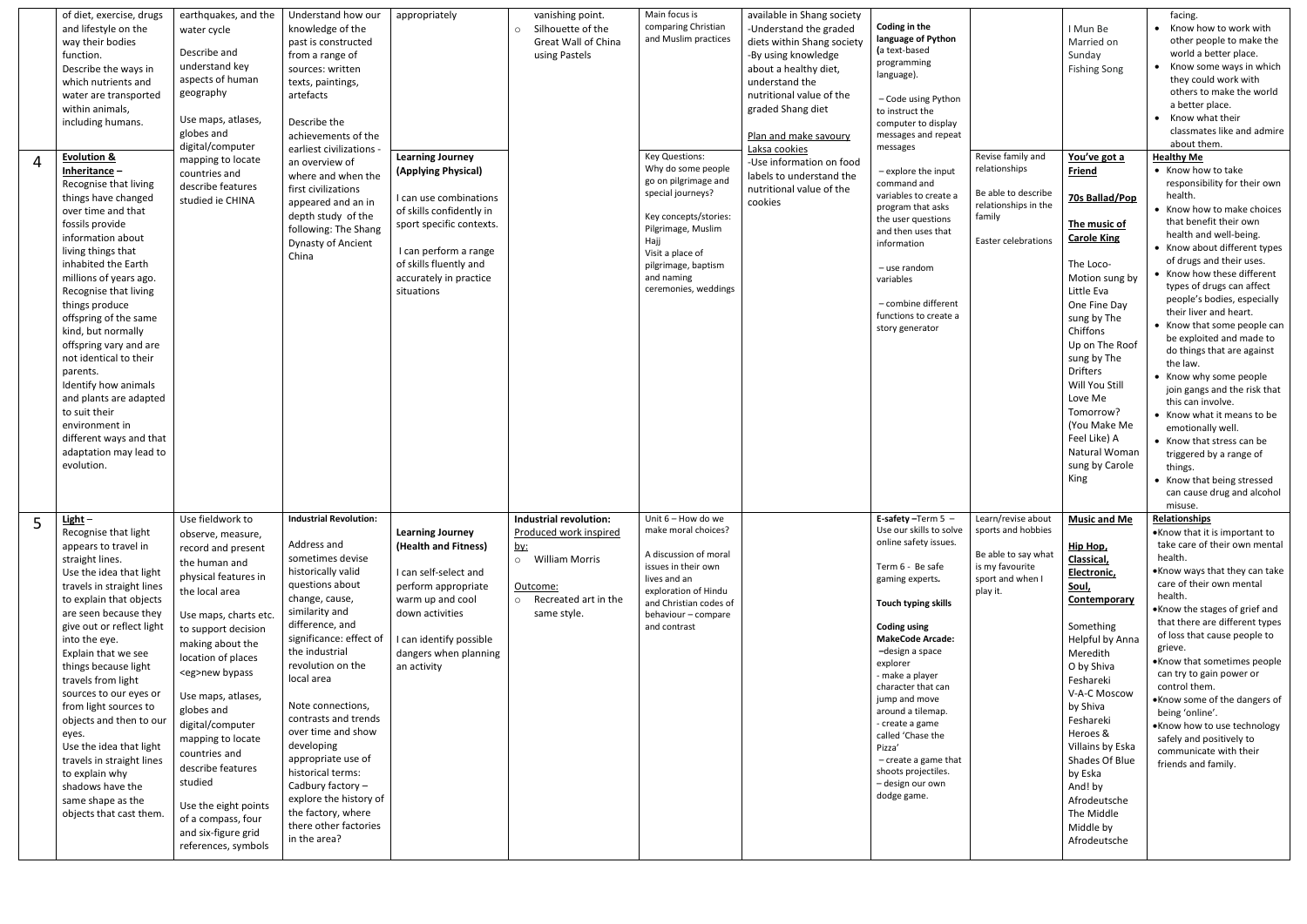| $\boldsymbol{\mathcal{A}}$ | of diet, exercise, drugs<br>and lifestyle on the<br>way their bodies<br>function.<br>Describe the ways in<br>which nutrients and<br>water are transported<br>within animals,<br>including humans.<br><b>Evolution &amp;</b><br>Inheritance $-$<br>Recognise that living<br>things have changed<br>over time and that<br>fossils provide<br>information about<br>living things that<br>inhabited the Earth<br>millions of years ago.<br>Recognise that living<br>things produce<br>offspring of the same<br>kind, but normally<br>offspring vary and are<br>not identical to their<br>parents.<br>Identify how animals<br>and plants are adapted<br>to suit their<br>environment in<br>different ways and that<br>adaptation may lead to<br>evolution. | earthquakes, and the<br>water cycle<br>Describe and<br>understand key<br>aspects of human<br>geography<br>Use maps, atlases,<br>globes and<br>digital/computer<br>mapping to locate<br>countries and<br>describe features<br>studied ie CHINA                                                                                                                                                                                                                                | Understand how our<br>knowledge of the<br>past is constructed<br>from a range of<br>sources: written<br>texts, paintings,<br>artefacts<br>Describe the<br>achievements of the<br>earliest civilizations -<br>an overview of<br>where and when the<br>first civilizations<br>appeared and an in<br>depth study of the<br>following: The Shang<br>Dynasty of Ancient<br>China                                                                                                                | appropriately<br><b>Learning Journey</b><br>(Applying Physical)<br>I can use combinations<br>of skills confidently in<br>sport specific contexts.<br>I can perform a range<br>of skills fluently and<br>accurately in practice<br>situations | vanishing point.<br>Silhouette of the<br>$\circ$<br>Great Wall of China<br>using Pastels                                                       | Main focus is<br>comparing Christian<br>and Muslim practices<br><b>Key Questions:</b><br>Why do some people<br>go on pilgrimage and<br>special journeys?<br>Key concepts/stories:<br>Pilgrimage, Muslim<br>Hajj<br>Visit a place of<br>pilgrimage, baptism<br>and naming<br>ceremonies, weddings | available in Shang society<br>-Understand the graded<br>diets within Shang society<br>-By using knowledge<br>about a healthy diet,<br>understand the<br>nutritional value of the<br>graded Shang diet<br>Plan and make savoury<br>Laksa cookies<br>-Use information on food<br>labels to understand the<br>nutritional value of the<br>cookies | Coding in the<br>language of Python<br>(a text-based<br>programming<br>language).<br>- Code using Python<br>to instruct the<br>computer to display<br>messages and repeat<br>messages<br>- explore the input<br>command and<br>variables to create a<br>program that asks<br>the user questions<br>and then uses that<br>information<br>- use random<br>variables<br>- combine different<br>functions to create a<br>story generator               | Revise family and<br>relationships<br>Be able to describe<br>relationships in the<br>family<br>Easter celebrations | I Mun Be<br>Married on<br>Sunday<br><b>Fishing Song</b><br>You've got a<br>Friend<br>70s Ballad/Pop<br>The music of<br><b>Carole King</b><br>The Loco-<br>Motion sung by<br>Little Eva<br>One Fine Day<br>sung by The<br>Chiffons<br>Up on The Roof<br>sung by The<br><b>Drifters</b><br>Will You Still<br>Love Me<br>Tomorrow?<br>(You Make Me<br>Feel Like) A<br>Natural Woman<br>sung by Carole<br>King | facing.<br>• Know how to work with<br>other people to make the<br>world a better place.<br>• Know some ways in which<br>they could work with<br>others to make the world<br>a better place.<br>• Know what their<br>classmates like and admire<br>about them.<br><b>Healthy Me</b><br>• Know how to take<br>responsibility for their own<br>health.<br>• Know how to make choices<br>that benefit their own<br>health and well-being.<br>• Know about different types<br>of drugs and their uses.<br>• Know how these different<br>types of drugs can affect<br>people's bodies, especially<br>their liver and heart.<br>• Know that some people can<br>be exploited and made to<br>do things that are against<br>the law.<br>• Know why some people<br>join gangs and the risk that<br>this can involve.<br>• Know what it means to be<br>emotionally well.<br>• Know that stress can be<br>triggered by a range of<br>things.<br>• Know that being stressed<br>can cause drug and alcohol<br>misuse. |
|----------------------------|-------------------------------------------------------------------------------------------------------------------------------------------------------------------------------------------------------------------------------------------------------------------------------------------------------------------------------------------------------------------------------------------------------------------------------------------------------------------------------------------------------------------------------------------------------------------------------------------------------------------------------------------------------------------------------------------------------------------------------------------------------|------------------------------------------------------------------------------------------------------------------------------------------------------------------------------------------------------------------------------------------------------------------------------------------------------------------------------------------------------------------------------------------------------------------------------------------------------------------------------|--------------------------------------------------------------------------------------------------------------------------------------------------------------------------------------------------------------------------------------------------------------------------------------------------------------------------------------------------------------------------------------------------------------------------------------------------------------------------------------------|----------------------------------------------------------------------------------------------------------------------------------------------------------------------------------------------------------------------------------------------|------------------------------------------------------------------------------------------------------------------------------------------------|--------------------------------------------------------------------------------------------------------------------------------------------------------------------------------------------------------------------------------------------------------------------------------------------------|------------------------------------------------------------------------------------------------------------------------------------------------------------------------------------------------------------------------------------------------------------------------------------------------------------------------------------------------|----------------------------------------------------------------------------------------------------------------------------------------------------------------------------------------------------------------------------------------------------------------------------------------------------------------------------------------------------------------------------------------------------------------------------------------------------|--------------------------------------------------------------------------------------------------------------------|------------------------------------------------------------------------------------------------------------------------------------------------------------------------------------------------------------------------------------------------------------------------------------------------------------------------------------------------------------------------------------------------------------|--------------------------------------------------------------------------------------------------------------------------------------------------------------------------------------------------------------------------------------------------------------------------------------------------------------------------------------------------------------------------------------------------------------------------------------------------------------------------------------------------------------------------------------------------------------------------------------------------------------------------------------------------------------------------------------------------------------------------------------------------------------------------------------------------------------------------------------------------------------------------------------------------------------------------------------------------------------------------------------------------------|
|                            | $Light -$<br>Recognise that light<br>appears to travel in<br>straight lines.<br>Use the idea that light<br>travels in straight lines<br>to explain that objects<br>are seen because they<br>give out or reflect light<br>into the eye.<br>Explain that we see<br>things because light<br>travels from light<br>sources to our eyes or<br>from light sources to<br>objects and then to our<br>eyes.<br>Use the idea that light<br>travels in straight lines<br>to explain why<br>shadows have the<br>same shape as the<br>objects that cast them.                                                                                                                                                                                                      | Use fieldwork to<br>observe, measure,<br>record and present<br>the human and<br>physical features in<br>the local area<br>Use maps, charts etc.<br>to support decision<br>making about the<br>location of places<br><eg>new bypass<br/>Use maps, atlases,<br/>globes and<br/>digital/computer<br/>mapping to locate<br/>countries and<br/>describe features<br/>studied<br/>Use the eight points<br/>of a compass, four<br/>and six-figure grid<br/>references, symbols</eg> | <b>Industrial Revolution:</b><br>Address and<br>sometimes devise<br>historically valid<br>questions about<br>change, cause,<br>similarity and<br>difference, and<br>significance: effect of<br>the industrial<br>revolution on the<br>local area<br>Note connections,<br>contrasts and trends<br>over time and show<br>developing<br>appropriate use of<br>historical terms:<br>Cadbury factory -<br>explore the history of<br>the factory, where<br>there other factories<br>in the area? | <b>Learning Journey</b><br>(Health and Fitness)<br>I can self-select and<br>perform appropriate<br>warm up and cool<br>down activities<br>I can identify possible<br>dangers when planning<br>an activity                                    | <b>Industrial revolution:</b><br>Produced work inspired<br><u>by:</u><br>o William Morris<br>Outcome:<br>o Recreated art in the<br>same style. | Unit 6 - How do we<br>make moral choices?<br>A discussion of moral<br>issues in their own<br>lives and an<br>exploration of Hindu<br>and Christian codes of<br>behaviour - compare<br>and contrast                                                                                               |                                                                                                                                                                                                                                                                                                                                                | E-safety-Term $5 -$<br>Use our skills to solve<br>online safety issues.<br>Term 6 - Be safe<br>gaming experts.<br><b>Touch typing skills</b><br><b>Coding using</b><br><b>MakeCode Arcade:</b><br>-design a space<br>explorer<br>- make a player<br>character that can<br>jump and move<br>around a tilemap.<br>- create a game<br>called 'Chase the<br>Pizza'<br>$-$ create a game that<br>shoots projectiles.<br>- design our own<br>dodge game. | Learn/revise about<br>sports and hobbies<br>Be able to say what<br>is my favourite<br>sport and when I<br>play it. | <b>Music and Me</b><br>Hip Hop,<br>Classical,<br>Electronic,<br>Soul,<br>Contemporary<br>Something<br>Helpful by Anna<br>Meredith<br>O by Shiva<br>Feshareki<br>V-A-C Moscow<br>by Shiva<br>Feshareki<br>Heroes &<br>Villains by Eska<br>Shades Of Blue<br>by Eska<br>And! by<br>Afrodeutsche<br>The Middle<br>Middle by<br>Afrodeutsche                                                                   | Relationships<br>.Know that it is important to<br>take care of their own mental<br>health.<br>.Know ways that they can take<br>care of their own mental<br>health.<br>•Know the stages of grief and<br>that there are different types<br>of loss that cause people to<br>grieve.<br>•Know that sometimes people<br>can try to gain power or<br>control them.<br>•Know some of the dangers of<br>being 'online'.<br>.Know how to use technology<br>safely and positively to<br>communicate with their<br>friends and family.                                                                                                                                                                                                                                                                                                                                                                                                                                                                            |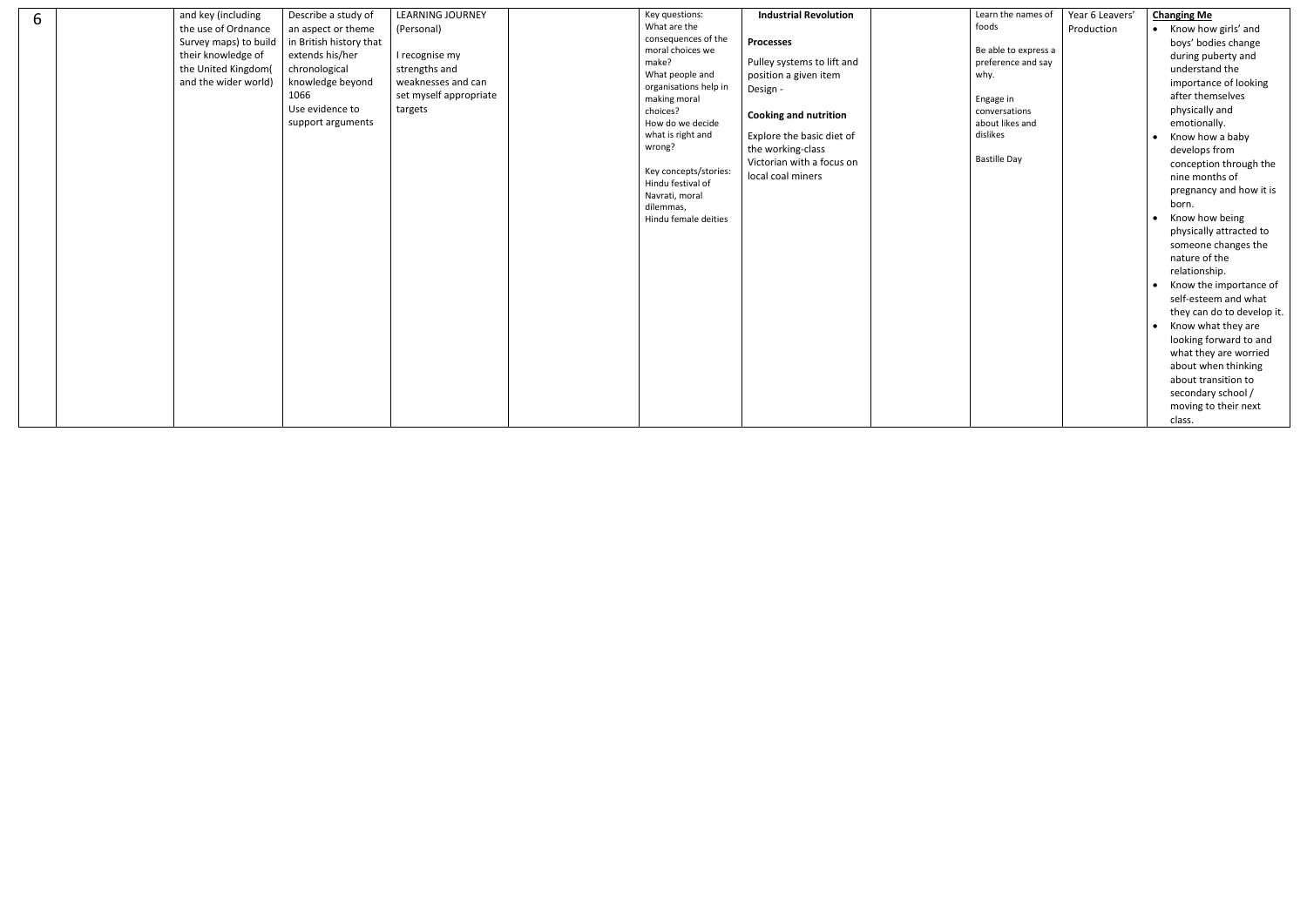| 6 | and key (including<br>Describe a study of<br>the use of Ordnance<br>an aspect or theme<br>in British history that<br>Survey maps) to build<br>their knowledge of<br>extends his/her<br>the United Kingdom(<br>chronological<br>knowledge beyond<br>and the wider world)<br>1066<br>Use evidence to<br>support arguments | <b>LEARNING JOURNEY</b><br>(Personal)<br>I recognise my<br>strengths and<br>weaknesses and can<br>set myself appropriate<br>targets | Key questions:<br>What are the<br>consequences of the<br>moral choices we<br>make?<br>What people and<br>organisations help in<br>making moral<br>choices?<br>How do we decide<br>what is right and<br>wrong?<br>Key concepts/stories: | <b>Industrial Revolution</b><br><b>Processes</b><br>Pulley systems to lift and<br>position a given item<br>Design -<br><b>Cooking and nutrition</b><br>Explore the basic diet of<br>the working-class<br>Victorian with a focus on | Learn the names of<br>foods<br>Be able to express a<br>preference and say<br>why.<br>Engage in<br>conversations<br>about likes and<br>dislikes<br><b>Bastille Day</b> | Year 6 Leavers'<br>Production | <b>Changing Me</b><br>• Know how girls' and<br>boys' bodies change<br>during puberty and<br>understand the<br>importance of looking<br>after themselves<br>physically and<br>emotionally.<br>Know how a baby<br>develops from<br>conception through the                                                                                                                                                                                           |
|---|-------------------------------------------------------------------------------------------------------------------------------------------------------------------------------------------------------------------------------------------------------------------------------------------------------------------------|-------------------------------------------------------------------------------------------------------------------------------------|----------------------------------------------------------------------------------------------------------------------------------------------------------------------------------------------------------------------------------------|------------------------------------------------------------------------------------------------------------------------------------------------------------------------------------------------------------------------------------|-----------------------------------------------------------------------------------------------------------------------------------------------------------------------|-------------------------------|---------------------------------------------------------------------------------------------------------------------------------------------------------------------------------------------------------------------------------------------------------------------------------------------------------------------------------------------------------------------------------------------------------------------------------------------------|
|   |                                                                                                                                                                                                                                                                                                                         |                                                                                                                                     | Hindu festival of<br>Navrati, moral<br>dilemmas,<br>Hindu female deities                                                                                                                                                               | local coal miners                                                                                                                                                                                                                  |                                                                                                                                                                       |                               | nine months of<br>pregnancy and how it is<br>born.<br>Know how being<br>$\bullet$<br>physically attracted to<br>someone changes the<br>nature of the<br>relationship.<br>Know the importance of<br>self-esteem and what<br>they can do to develop it.<br>Know what they are<br>$\bullet$<br>looking forward to and<br>what they are worried<br>about when thinking<br>about transition to<br>secondary school /<br>moving to their next<br>class. |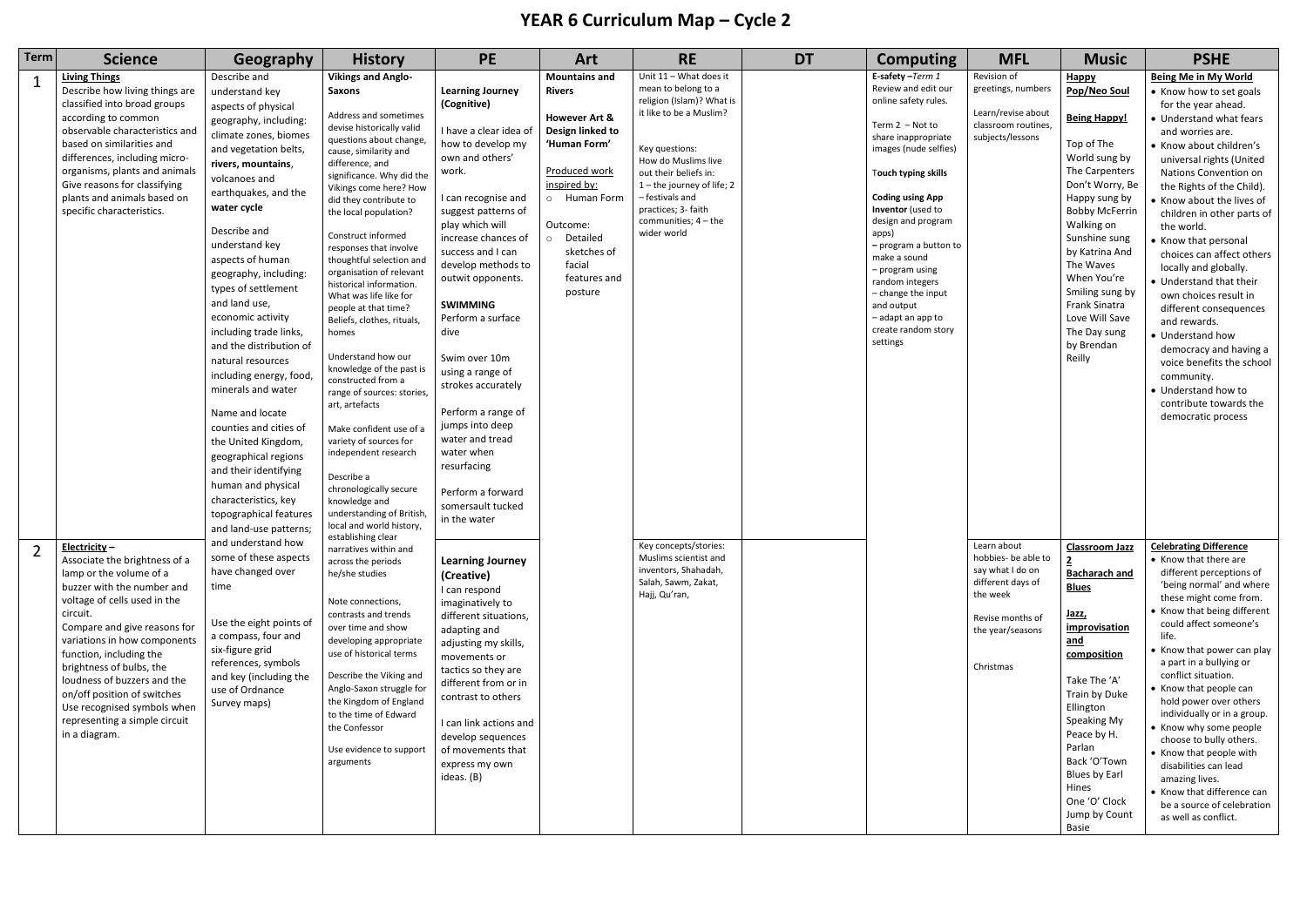## **YEAR 6 Curriculum Map – Cycle 2**

| <b>Term</b> | <b>Science</b>                                                                                                                                                                                                                                                                                                                                                                                                           | Geography                                                                                                                                                                                                                                                                                                                                                                                                                                                                                                                                                                                                                                                                         | <b>History</b>                                                                                                                                                                                                                                                                                                                                                                                                                                                                                                                                                                                                                                                                                                                                                                                                                       | <b>PE</b>                                                                                                                                                                                                                                                                                                                                                                                                                                                                                                                              | Art                                                                                                                                                                                                                                                                                                                                  | <b>RE</b>                                                                                                                                                                                                                                                                              | <b>DT</b>                                                                                                      | <b>Computing</b>                                                                                                                                                                                                                                                                                                                                                                                                     | <b>MFL</b>                                                                                         | <b>Music</b>                                                                                                                                                                                                                                                                                                                          | <b>PSHE</b>                                                                                                                                                                                                                                                                                                                                                                                                                                                                                                                                                                                                                                                    |                                                                                                                                                                                                                                                                                                                                                                                                                                                                                                                                                                                              |
|-------------|--------------------------------------------------------------------------------------------------------------------------------------------------------------------------------------------------------------------------------------------------------------------------------------------------------------------------------------------------------------------------------------------------------------------------|-----------------------------------------------------------------------------------------------------------------------------------------------------------------------------------------------------------------------------------------------------------------------------------------------------------------------------------------------------------------------------------------------------------------------------------------------------------------------------------------------------------------------------------------------------------------------------------------------------------------------------------------------------------------------------------|--------------------------------------------------------------------------------------------------------------------------------------------------------------------------------------------------------------------------------------------------------------------------------------------------------------------------------------------------------------------------------------------------------------------------------------------------------------------------------------------------------------------------------------------------------------------------------------------------------------------------------------------------------------------------------------------------------------------------------------------------------------------------------------------------------------------------------------|----------------------------------------------------------------------------------------------------------------------------------------------------------------------------------------------------------------------------------------------------------------------------------------------------------------------------------------------------------------------------------------------------------------------------------------------------------------------------------------------------------------------------------------|--------------------------------------------------------------------------------------------------------------------------------------------------------------------------------------------------------------------------------------------------------------------------------------------------------------------------------------|----------------------------------------------------------------------------------------------------------------------------------------------------------------------------------------------------------------------------------------------------------------------------------------|----------------------------------------------------------------------------------------------------------------|----------------------------------------------------------------------------------------------------------------------------------------------------------------------------------------------------------------------------------------------------------------------------------------------------------------------------------------------------------------------------------------------------------------------|----------------------------------------------------------------------------------------------------|---------------------------------------------------------------------------------------------------------------------------------------------------------------------------------------------------------------------------------------------------------------------------------------------------------------------------------------|----------------------------------------------------------------------------------------------------------------------------------------------------------------------------------------------------------------------------------------------------------------------------------------------------------------------------------------------------------------------------------------------------------------------------------------------------------------------------------------------------------------------------------------------------------------------------------------------------------------------------------------------------------------|----------------------------------------------------------------------------------------------------------------------------------------------------------------------------------------------------------------------------------------------------------------------------------------------------------------------------------------------------------------------------------------------------------------------------------------------------------------------------------------------------------------------------------------------------------------------------------------------|
|             | <b>Living Things</b><br>Describe how living things are<br>classified into broad groups<br>according to common<br>observable characteristics and<br>based on similarities and<br>differences, including micro-<br>organisms, plants and animals<br>Give reasons for classifying<br>plants and animals based on<br>specific characteristics.                                                                               | Describe and<br>understand key<br>aspects of physical<br>geography, including:<br>climate zones, biomes<br>and vegetation belts,<br>rivers, mountains,<br>volcanoes and<br>earthquakes, and the<br>water cycle<br>Describe and<br>understand key<br>aspects of human<br>geography, including<br>types of settlement<br>and land use,<br>economic activity<br>including trade links,<br>and the distribution of<br>natural resources<br>including energy, food,<br>minerals and water<br>Name and locate<br>counties and cities of<br>the United Kingdom,<br>geographical regions<br>and their identifying<br>human and physical<br>characteristics, key<br>topographical features | <b>Vikings and Anglo-</b><br><b>Saxons</b><br>Address and sometimes<br>devise historically valid<br>questions about change,<br>cause, similarity and<br>difference, and<br>significance. Why did the<br>Vikings come here? How<br>did they contribute to<br>the local population?<br>Construct informed<br>responses that involve<br>thoughtful selection and<br>organisation of relevant<br>historical information.<br>What was life like for<br>people at that time?<br>Beliefs, clothes, rituals,<br>homes<br>Understand how our<br>knowledge of the past is<br>constructed from a<br>range of sources: stories,<br>art, artefacts<br>Make confident use of a<br>variety of sources for<br>independent research<br>Describe a<br>chronologically secure<br>knowledge and<br>understanding of British,<br>local and world history, | <b>Learning Journey</b><br>(Cognitive)<br>I have a clear idea o<br>how to develop my<br>own and others'<br>work.<br>I can recognise and<br>suggest patterns of<br>play which will<br>increase chances of<br>success and I can<br>develop methods to<br>outwit opponents.<br><b>SWIMMING</b><br>Perform a surface<br>dive<br>Swim over 10m<br>using a range of<br>strokes accurately<br>Perform a range of<br>jumps into deep<br>water and tread<br>water when<br>resurfacing<br>Perform a forward<br>somersault tucked<br>in the water | <b>Mountains and</b><br><b>Rivers</b><br><b>However Art &amp;</b><br>Design linked to<br>'Human Form'<br><b>Produced work</b><br>inspired by:<br>o Human Form<br>Outcome:<br>Detailed<br>$\circ$<br>sketches of<br>facial<br>features and<br>posture                                                                                 | Unit 11 - What does it<br>mean to belong to a<br>religion (Islam)? What is<br>it like to be a Muslim?<br>Key questions:<br>How do Muslims live<br>out their beliefs in:<br>1-the journey of life; 2<br>- festivals and<br>practices; 3- faith<br>communities; $4 -$ the<br>wider world |                                                                                                                | E-safety-Term 1<br>Review and edit our<br>online safety rules.<br>Term $2 - Not$ to<br>share inappropriate<br>images (nude selfies)<br>Touch typing skills<br><b>Coding using App</b><br>Inventor (used to<br>design and program<br>apps)<br>- program a button to<br>make a sound<br>- program using<br>random integers<br>- change the input<br>and output<br>- adapt an app to<br>create random story<br>settings | Revision of<br>greetings, numbers<br>Learn/revise about<br>classroom routines,<br>subjects/lessons | Happy<br>Pop/Neo Soul<br><b>Being Happy!</b><br>Top of The<br>World sung by<br>The Carpenters<br>Don't Worry, Be<br>Happy sung by<br><b>Bobby McFerrin</b><br>Walking on<br>Sunshine sung<br>by Katrina And<br>The Waves<br>When You're<br>Smiling sung by<br>Frank Sinatra<br>Love Will Save<br>The Day sung<br>by Brendan<br>Reilly | <b>Being Me in My World</b><br>• Know how to set goals<br>for the year ahead.<br>• Understand what fears<br>and worries are.<br>• Know about children's<br>universal rights (United<br>Nations Convention on<br>the Rights of the Child).<br>• Know about the lives of<br>children in other parts of<br>the world.<br>• Know that personal<br>choices can affect others<br>locally and globally.<br>• Understand that their<br>own choices result in<br>different consequences<br>and rewards.<br>• Understand how<br>democracy and having a<br>voice benefits the school<br>community.<br>• Understand how to<br>contribute towards the<br>democratic process |                                                                                                                                                                                                                                                                                                                                                                                                                                                                                                                                                                                              |
|             | Electricity-<br>Associate the brightness of a<br>lamp or the volume of a<br>buzzer with the number and<br>voltage of cells used in the<br>circuit.<br>Compare and give reasons for<br>variations in how components<br>function, including the<br>brightness of bulbs, the<br>loudness of buzzers and the<br>on/off position of switches<br>Use recognised symbols when<br>representing a simple circuit<br>in a diagram. | and land-use patterns;<br>and understand how<br>some of these aspects<br>have changed over<br>time<br>Use the eight points of<br>a compass, four and<br>six-figure grid<br>references, symbols<br>and key (including the<br>use of Ordnance<br>Survey maps)                                                                                                                                                                                                                                                                                                                                                                                                                       |                                                                                                                                                                                                                                                                                                                                                                                                                                                                                                                                                                                                                                                                                                                                                                                                                                      | establishing clear<br>narratives within and<br>across the periods<br>he/she studies<br>Note connections,<br>contrasts and trends<br>over time and show<br>developing appropriate<br>use of historical terms<br>Describe the Viking and<br>Anglo-Saxon struggle for<br>the Kingdom of England<br>to the time of Edward<br>the Confessor<br>Use evidence to support<br>arguments                                                                                                                                                         | <b>Learning Journey</b><br>(Creative)<br>I can respond<br>imaginatively to<br>different situations,<br>adapting and<br>adjusting my skills,<br>movements or<br>tactics so they are<br>different from or in<br>contrast to others<br>I can link actions and<br>develop sequences<br>of movements that<br>express my own<br>ideas. (B) |                                                                                                                                                                                                                                                                                        | Key concepts/stories:<br>Muslims scientist and<br>inventors, Shahadah,<br>Salah, Sawm, Zakat,<br>Hajj, Qu'ran, |                                                                                                                                                                                                                                                                                                                                                                                                                      |                                                                                                    | Learn about<br>hobbies- be able to<br>say what I do on<br>different days of<br>the week<br>Revise months of<br>the year/seasons<br>Christmas                                                                                                                                                                                          | <b>Classroom Jazz</b><br><b>Bacharach and</b><br><b>Blues</b><br><u>Jazz,</u><br>improvisation<br>and<br>composition<br>Take The 'A'<br>Train by Duke<br>Ellington<br>Speaking My<br>Peace by H.<br>Parlan<br>Back 'O'Town<br>Blues by Earl<br>Hines<br>One 'O' Clock<br>Jump by Count<br>Basie                                                                                                                                                                                                                                                                                                                                                                | <b>Celebrating Difference</b><br>• Know that there are<br>different perceptions of<br>'being normal' and where<br>these might come from.<br>• Know that being different<br>could affect someone's<br>life.<br>• Know that power can play<br>a part in a bullying or<br>conflict situation.<br>• Know that people can<br>hold power over others<br>individually or in a group.<br>• Know why some people<br>choose to bully others.<br>• Know that people with<br>disabilities can lead<br>amazing lives.<br>• Know that difference can<br>be a source of celebration<br>as well as conflict. |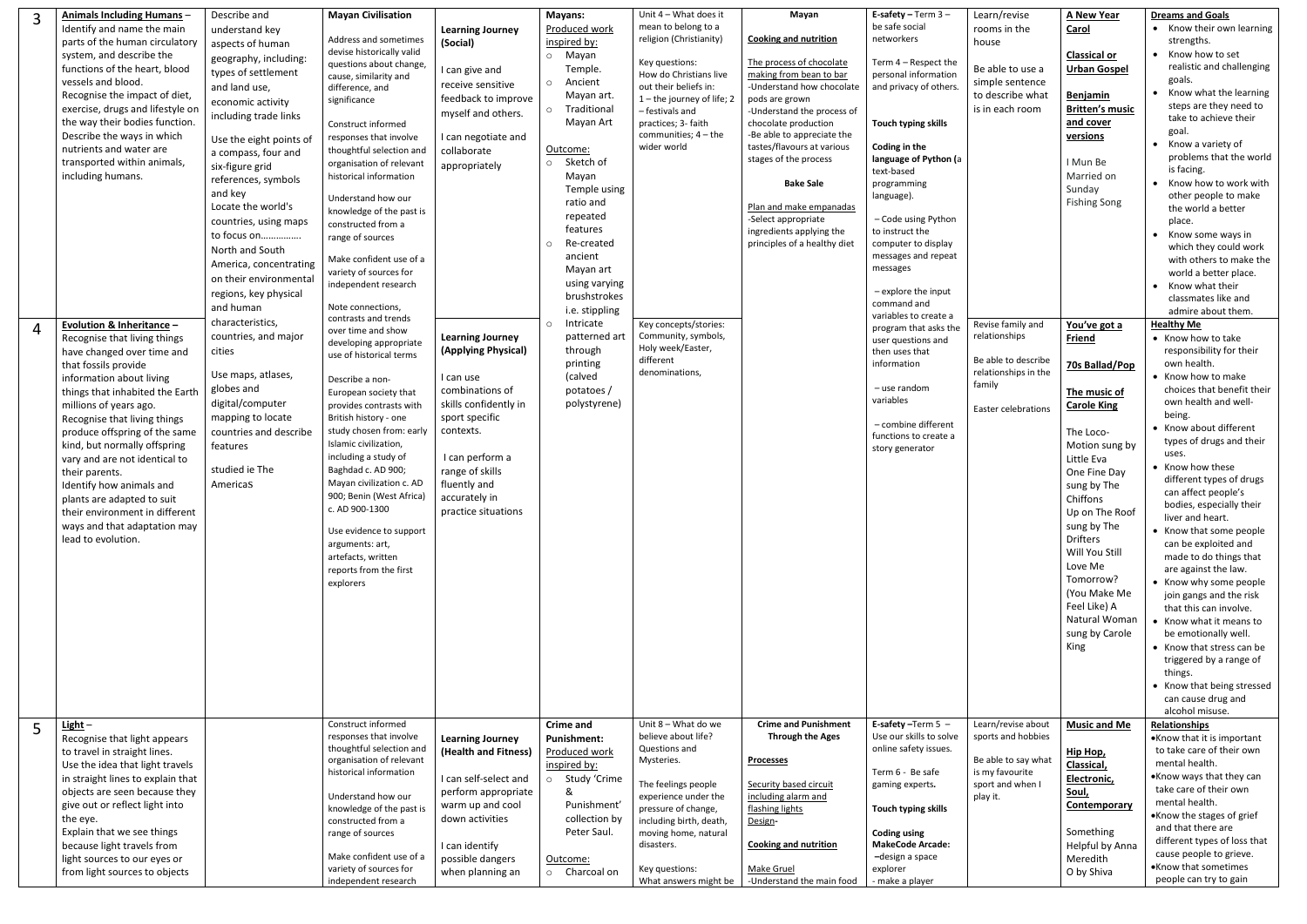| $\overline{4}$ | <b>Animals Including Humans -</b><br>Identify and name the main<br>parts of the human circulatory<br>system, and describe the<br>functions of the heart, blood<br>vessels and blood.<br>Recognise the impact of diet,<br>exercise, drugs and lifestyle on<br>the way their bodies function.<br>Describe the ways in which<br>nutrients and water are<br>transported within animals,<br>including humans.<br>Evolution & Inheritance -<br>Recognise that living things<br>have changed over time and<br>that fossils provide<br>information about living<br>things that inhabited the Earth<br>millions of years ago.<br>Recognise that living things<br>produce offspring of the same<br>kind, but normally offspring<br>vary and are not identical to<br>their parents.<br>Identify how animals and<br>plants are adapted to suit<br>their environment in different<br>ways and that adaptation may<br>lead to evolution. | Describe and<br>understand key<br>aspects of human<br>geography, including:<br>types of settlement<br>and land use,<br>economic activity<br>including trade links<br>Use the eight points of<br>a compass, four and<br>six-figure grid<br>references, symbols<br>and key<br>Locate the world's<br>countries, using maps<br>to focus on<br>North and South<br>America, concentrating<br>on their environmental<br>regions, key physical<br>and human<br>characteristics,<br>countries, and major<br>cities<br>Use maps, atlases,<br>globes and<br>digital/computer<br>mapping to locate<br>countries and describe<br>features<br>studied ie The<br>Americas | <b>Mayan Civilisation</b><br>Address and sometimes<br>devise historically valid<br>questions about change,<br>cause, similarity and<br>difference, and<br>significance<br>Construct informed<br>responses that involve<br>thoughtful selection and<br>organisation of relevant<br>historical information<br>Understand how our<br>knowledge of the past is<br>constructed from a<br>range of sources<br>Make confident use of a<br>variety of sources for<br>independent research<br>Note connections,<br>contrasts and trends<br>over time and show<br>developing appropriate<br>use of historical terms<br>Describe a non-<br>European society that<br>provides contrasts with<br>British history - one<br>study chosen from: early<br>Islamic civilization,<br>including a study of<br>Baghdad c. AD 900;<br>Mayan civilization c. AD<br>900; Benin (West Africa)<br>c. AD 900-1300<br>Use evidence to support<br>arguments: art,<br>artefacts, written<br>reports from the first<br>explorers | <b>Learning Journey</b><br>(Social)<br>I can give and<br>receive sensitive<br>feedback to improve<br>myself and others.<br>I can negotiate and<br>collaborate<br>appropriately<br><b>Learning Journey</b><br>(Applying Physical)<br>I can use<br>combinations of<br>skills confidently in<br>sport specific<br>contexts.<br>I can perform a<br>range of skills<br>fluently and<br>accurately in<br>practice situations | Mayans:<br>Produced work<br>inspired by:<br>o Mayan<br>Temple.<br>o Ancient<br>Mayan art.<br>Traditional<br>$\circ$<br>Mayan Art<br>Outcome:<br>Sketch of<br>$\circ$<br>Mayan<br>Temple using<br>ratio and<br>repeated<br>features<br>Re-created<br>$\circ$<br>ancient<br>Mayan art<br>using varying<br>brushstrokes<br>i.e. stippling<br>Intricate<br>$\circ$<br>patterned art<br>through<br>printing<br>(calved<br>potatoes/<br>polystyrene) | Unit $4 -$ What does it<br>mean to belong to a<br>religion (Christianity)<br>Key questions:<br>How do Christians live<br>out their beliefs in:<br>1-the journey of life; 2<br>- festivals and<br>practices; 3- faith<br>communities; $4 -$ the<br>wider world<br>Key concepts/stories:<br>Community, symbols,<br>Holy week/Easter,<br>different<br>denominations, | Mayan<br><b>Cooking and nutrition</b><br>The process of chocolate<br>making from bean to bar<br>-Understand how chocolate<br>pods are grown<br>-Understand the process of<br>chocolate production<br>-Be able to appreciate the<br>tastes/flavours at various<br>stages of the process<br><b>Bake Sale</b><br>Plan and make empanadas<br>-Select appropriate<br>ingredients applying the<br>principles of a healthy diet | E-safety - Term $3 -$<br>be safe social<br>networkers<br>Term 4 – Respect the<br>personal information<br>and privacy of others.<br>Touch typing skills<br>Coding in the<br>language of Python (a<br>text-based<br>programming<br>language).<br>- Code using Python<br>to instruct the<br>computer to display<br>messages and repeat<br>messages<br>- explore the input<br>command and<br>variables to create a<br>program that asks the<br>user questions and<br>then uses that<br>information<br>- use random<br>variables<br>- combine different<br>functions to create a<br>story generator | Learn/revise<br>rooms in the<br>house<br>Be able to use a<br>simple sentence<br>to describe what<br>is in each room<br>Revise family and<br>relationships<br>Be able to describe<br>relationships in the<br>family<br>Easter celebrations | <b>A New Year</b><br>Carol<br><b>Classical or</b><br><b>Urban Gospel</b><br>Benjamin<br><b>Britten's music</b><br>and cover<br>versions<br>I Mun Be<br>Married on<br>Sunday<br>Fishing Song<br>You've got a<br>Friend<br>70s Ballad/Pop<br>The music of<br><b>Carole King</b><br>The Loco-<br>Motion sung by<br>Little Eva<br>One Fine Day<br>sung by The<br>Chiffons<br>Up on The Roof<br>sung by The<br>Drifters<br>Will You Still<br>Love Me<br>Tomorrow?<br>(You Make Me<br>Feel Like) A<br>Natural Woman<br>sung by Carole<br>King | <b>Dreams and Goals</b><br>• Know their own learning<br>strengths.<br>• Know how to set<br>realistic and challenging<br>goals.<br>Know what the learning<br>$\bullet$<br>steps are they need to<br>take to achieve their<br>goal.<br>• Know a variety of<br>problems that the world<br>is facing.<br>• Know how to work with<br>other people to make<br>the world a better<br>place.<br>• Know some ways in<br>which they could work<br>with others to make the<br>world a better place.<br>• Know what their<br>classmates like and<br>admire about them.<br><b>Healthy Me</b><br>• Know how to take<br>responsibility for their<br>own health.<br>• Know how to make<br>choices that benefit their<br>own health and well-<br>being.<br>• Know about different<br>types of drugs and their<br>uses.<br>• Know how these<br>different types of drugs<br>can affect people's<br>bodies, especially their<br>liver and heart.<br>• Know that some people<br>can be exploited and<br>made to do things that<br>are against the law.<br>• Know why some people<br>join gangs and the risk<br>that this can involve.<br>• Know what it means to<br>be emotionally well.<br>• Know that stress can be<br>triggered by a range of<br>things.<br>• Know that being stressed |
|----------------|----------------------------------------------------------------------------------------------------------------------------------------------------------------------------------------------------------------------------------------------------------------------------------------------------------------------------------------------------------------------------------------------------------------------------------------------------------------------------------------------------------------------------------------------------------------------------------------------------------------------------------------------------------------------------------------------------------------------------------------------------------------------------------------------------------------------------------------------------------------------------------------------------------------------------|------------------------------------------------------------------------------------------------------------------------------------------------------------------------------------------------------------------------------------------------------------------------------------------------------------------------------------------------------------------------------------------------------------------------------------------------------------------------------------------------------------------------------------------------------------------------------------------------------------------------------------------------------------|---------------------------------------------------------------------------------------------------------------------------------------------------------------------------------------------------------------------------------------------------------------------------------------------------------------------------------------------------------------------------------------------------------------------------------------------------------------------------------------------------------------------------------------------------------------------------------------------------------------------------------------------------------------------------------------------------------------------------------------------------------------------------------------------------------------------------------------------------------------------------------------------------------------------------------------------------------------------------------------------------|------------------------------------------------------------------------------------------------------------------------------------------------------------------------------------------------------------------------------------------------------------------------------------------------------------------------------------------------------------------------------------------------------------------------|------------------------------------------------------------------------------------------------------------------------------------------------------------------------------------------------------------------------------------------------------------------------------------------------------------------------------------------------------------------------------------------------------------------------------------------------|-------------------------------------------------------------------------------------------------------------------------------------------------------------------------------------------------------------------------------------------------------------------------------------------------------------------------------------------------------------------|--------------------------------------------------------------------------------------------------------------------------------------------------------------------------------------------------------------------------------------------------------------------------------------------------------------------------------------------------------------------------------------------------------------------------|------------------------------------------------------------------------------------------------------------------------------------------------------------------------------------------------------------------------------------------------------------------------------------------------------------------------------------------------------------------------------------------------------------------------------------------------------------------------------------------------------------------------------------------------------------------------------------------------|-------------------------------------------------------------------------------------------------------------------------------------------------------------------------------------------------------------------------------------------|-----------------------------------------------------------------------------------------------------------------------------------------------------------------------------------------------------------------------------------------------------------------------------------------------------------------------------------------------------------------------------------------------------------------------------------------------------------------------------------------------------------------------------------------|----------------------------------------------------------------------------------------------------------------------------------------------------------------------------------------------------------------------------------------------------------------------------------------------------------------------------------------------------------------------------------------------------------------------------------------------------------------------------------------------------------------------------------------------------------------------------------------------------------------------------------------------------------------------------------------------------------------------------------------------------------------------------------------------------------------------------------------------------------------------------------------------------------------------------------------------------------------------------------------------------------------------------------------------------------------------------------------------------------------------------------------------------------------------------------------------------------------------------------------------------------------------|
|                | $Light -$                                                                                                                                                                                                                                                                                                                                                                                                                                                                                                                                                                                                                                                                                                                                                                                                                                                                                                                  |                                                                                                                                                                                                                                                                                                                                                                                                                                                                                                                                                                                                                                                            | Construct informed                                                                                                                                                                                                                                                                                                                                                                                                                                                                                                                                                                                                                                                                                                                                                                                                                                                                                                                                                                                |                                                                                                                                                                                                                                                                                                                                                                                                                        | <b>Crime and</b>                                                                                                                                                                                                                                                                                                                                                                                                                               | Unit 8 - What do we                                                                                                                                                                                                                                                                                                                                               | <b>Crime and Punishment</b>                                                                                                                                                                                                                                                                                                                                                                                              | E-safety-Term $5 -$                                                                                                                                                                                                                                                                                                                                                                                                                                                                                                                                                                            | Learn/revise about                                                                                                                                                                                                                        | <b>Music and Me</b>                                                                                                                                                                                                                                                                                                                                                                                                                                                                                                                     | can cause drug and<br>alcohol misuse.<br>Relationships                                                                                                                                                                                                                                                                                                                                                                                                                                                                                                                                                                                                                                                                                                                                                                                                                                                                                                                                                                                                                                                                                                                                                                                                               |
|                | Recognise that light appears<br>to travel in straight lines.<br>Use the idea that light travels<br>in straight lines to explain that<br>objects are seen because they<br>give out or reflect light into<br>the eye.<br>Explain that we see things<br>because light travels from<br>light sources to our eyes or<br>from light sources to objects                                                                                                                                                                                                                                                                                                                                                                                                                                                                                                                                                                           |                                                                                                                                                                                                                                                                                                                                                                                                                                                                                                                                                                                                                                                            | responses that involve<br>thoughtful selection and<br>organisation of relevant<br>historical information<br>Understand how our<br>knowledge of the past is<br>constructed from a<br>range of sources<br>Make confident use of a<br>variety of sources for<br>independent research                                                                                                                                                                                                                                                                                                                                                                                                                                                                                                                                                                                                                                                                                                                 | <b>Learning Journey</b><br>(Health and Fitness)<br>I can self-select and<br>perform appropriate<br>warm up and cool<br>down activities<br>I can identify<br>possible dangers<br>when planning an                                                                                                                                                                                                                       | <b>Punishment:</b><br>Produced work<br>inspired by:<br>o Study 'Crime<br>&<br>Punishment'<br>collection by<br>Peter Saul.<br>Outcome:<br>o Charcoal on                                                                                                                                                                                                                                                                                         | believe about life?<br>Questions and<br>Mysteries.<br>The feelings people<br>experience under the<br>pressure of change,<br>including birth, death,<br>moving home, natural<br>disasters.<br>Key questions:<br>What answers might be                                                                                                                              | <b>Through the Ages</b><br><b>Processes</b><br>Security based circuit<br>including alarm and<br>flashing lights<br>Design-<br><b>Cooking and nutrition</b><br>Make Gruel<br>-Understand the main food                                                                                                                                                                                                                    | Use our skills to solve<br>online safety issues.<br>Term 6 - Be safe<br>gaming experts.<br>Touch typing skills<br><b>Coding using</b><br><b>MakeCode Arcade:</b><br>-design a space<br>explorer<br>- make a player                                                                                                                                                                                                                                                                                                                                                                             | sports and hobbies<br>Be able to say what<br>is my favourite<br>sport and when I<br>play it.                                                                                                                                              | Hip Hop,<br>Classical,<br>Electronic,<br>Soul,<br>Contemporary<br>Something<br>Helpful by Anna<br>Meredith<br>O by Shiva                                                                                                                                                                                                                                                                                                                                                                                                                | •Know that it is important<br>to take care of their own<br>mental health.<br>•Know ways that they can<br>take care of their own<br>mental health.<br>•Know the stages of grief<br>and that there are<br>different types of loss that<br>cause people to grieve.<br>.Know that sometimes<br>people can try to gain                                                                                                                                                                                                                                                                                                                                                                                                                                                                                                                                                                                                                                                                                                                                                                                                                                                                                                                                                    |